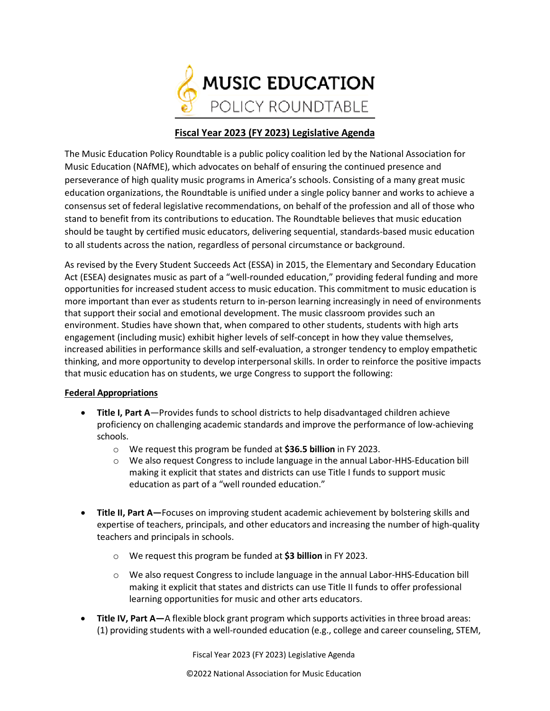

# **Fiscal Year 2023 (FY 2023) Legislative Agenda**

The Music Education Policy Roundtable is a public policy coalition led by the National Association for Music Education (NAfME), which advocates on behalf of ensuring the continued presence and perseverance of high quality music programs in America's schools. Consisting of a many great music education organizations, the Roundtable is unified under a single policy banner and works to achieve a consensus set of federal legislative recommendations, on behalf of the profession and all of those who stand to benefit from its contributions to education. The Roundtable believes that music education should be taught by certified music educators, delivering sequential, standards-based music education to all students across the nation, regardless of personal circumstance or background.

As revised by the Every Student Succeeds Act (ESSA) in 2015, the Elementary and Secondary Education Act (ESEA) designates music as part of a "well-rounded education," providing federal funding and more opportunities for increased student access to music education. This commitment to music education is more important than ever as students return to in-person learning increasingly in need of environments that support their social and emotional development. The music classroom provides such an environment. Studies have shown that, when compared to other students, students with high arts engagement (including music) exhibit higher levels of self-concept in how they value themselves, increased abilities in performance skills and self-evaluation, a stronger tendency to employ empathetic thinking, and more opportunity to develop interpersonal skills. In order to reinforce the positive impacts that music education has on students, we urge Congress to support the following:

# **Federal Appropriations**

- **Title I, Part A**—Provides funds to school districts to help disadvantaged children achieve proficiency on challenging academic standards and improve the performance of low-achieving schools.
	- o We request this program be funded at **\$36.5 billion** in FY 2023.
	- o We also request Congress to include language in the annual Labor-HHS-Education bill making it explicit that states and districts can use Title I funds to support music education as part of a "well rounded education."
- **Title II, Part A—**Focuses on improving student academic achievement by bolstering skills and expertise of teachers, principals, and other educators and increasing the number of high-quality teachers and principals in schools.
	- o We request this program be funded at **\$3 billion** in FY 2023.
	- o We also request Congress to include language in the annual Labor-HHS-Education bill making it explicit that states and districts can use Title II funds to offer professional learning opportunities for music and other arts educators.
- **Title IV, Part A—**A flexible block grant program which supports activities in three broad areas: (1) providing students with a well-rounded education (e.g., college and career counseling, STEM,

Fiscal Year 2023 (FY 2023) Legislative Agenda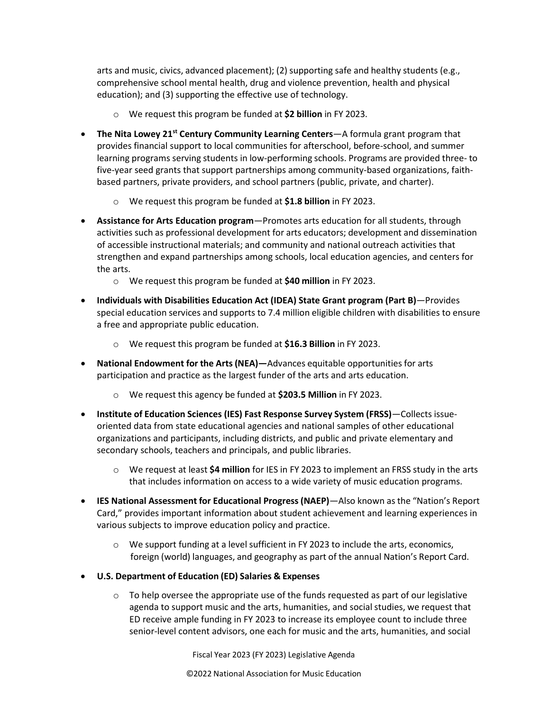arts and music, civics, advanced placement); (2) supporting safe and healthy students (e.g., comprehensive school mental health, drug and violence prevention, health and physical education); and (3) supporting the effective use of technology.

- o We request this program be funded at **\$2 billion** in FY 2023.
- **The Nita Lowey 21st Century Community Learning Centers**—A formula grant program that provides financial support to local communities for afterschool, before-school, and summer learning programs serving students in low-performing schools. Programs are provided three- to five-year seed grants that support partnerships among community-based organizations, faithbased partners, private providers, and school partners (public, private, and charter).
	- o We request this program be funded at **\$1.8 billion** in FY 2023.
- **Assistance for Arts Education program**—Promotes arts education for all students, through activities such as professional development for arts educators; development and dissemination of accessible instructional materials; and community and national outreach activities that strengthen and expand partnerships among schools, local education agencies, and centers for the arts.
	- o We request this program be funded at **\$40 million** in FY 2023.
- **Individuals with Disabilities Education Act (IDEA) State Grant program (Part B)**—Provides special education services and supports to 7.4 million eligible children with disabilities to ensure a free and appropriate public education.
	- o We request this program be funded at **\$16.3 Billion** in FY 2023.
- **National Endowment for the Arts(NEA)—**Advances equitable opportunities for arts participation and practice as the largest funder of the arts and arts education.
	- o We request this agency be funded at **\$203.5 Million** in FY 2023.
- **Institute of Education Sciences (IES) Fast Response Survey System (FRSS)**—Collects issueoriented data from state educational agencies and national samples of other educational organizations and participants, including districts, and public and private elementary and secondary schools, teachers and principals, and public libraries.
	- o We request at least **\$4 million** for IES in FY 2023 to implement an FRSS study in the arts that includes information on access to a wide variety of music education programs.
- **IES National Assessment for Educational Progress(NAEP)**—Also known as the "Nation's Report Card," provides important information about student achievement and learning experiences in various subjects to improve education policy and practice.
	- $\circ$  We support funding at a level sufficient in FY 2023 to include the arts, economics, foreign (world) languages, and geography as part of the annual Nation's Report Card.
- **U.S. Department of Education (ED) Salaries & Expenses**
	- $\circ$  To help oversee the appropriate use of the funds requested as part of our legislative agenda to support music and the arts, humanities, and social studies, we request that ED receive ample funding in FY 2023 to increase its employee count to include three senior-level content advisors, one each for music and the arts, humanities, and social

Fiscal Year 2023 (FY 2023) Legislative Agenda